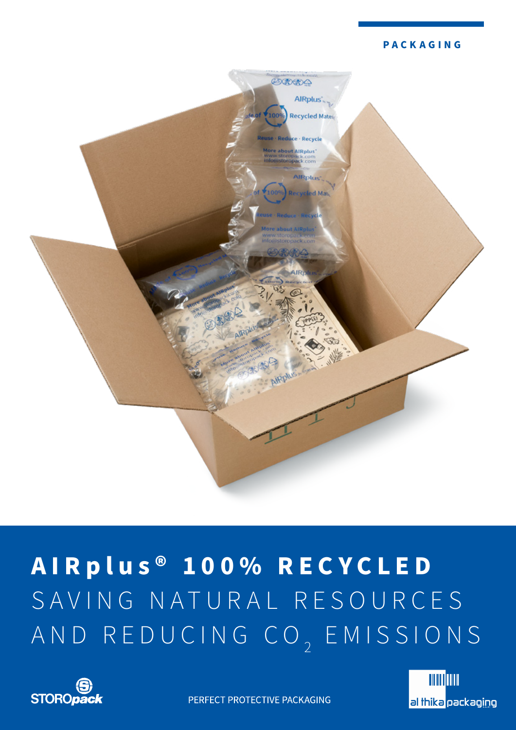### **PACKAGING**



# **AIR plus ® 100% RECYCLED** SAVING NATURAL RESOURCES AND REDUCING CO<sub>2</sub> EMISSIONS





PERFECT PROTECTIVE PACKAGING